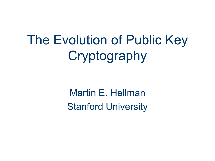# The Evolution of Public Key **Cryptography**

Martin E. Hellman Stanford University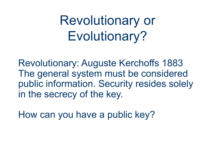# Revolutionary or Evolutionary?

Revolutionary: Auguste Kerchoffs 1883 The general system must be considered public information. Security resides solely in the secrecy of the key.

How can you have a public key?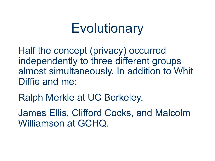# **Evolutionary**

Half the concept (privacy) occurred independently to three different groups almost simultaneously. In addition to Whit Diffie and me:

Ralph Merkle at UC Berkeley.

James Ellis, Clifford Cocks, and Malcolm Williamson at GCHQ.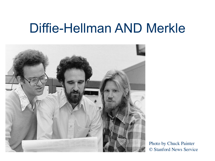#### Diffie-Hellman AND Merkle



Photo by Chuck Painter © Stanford News Service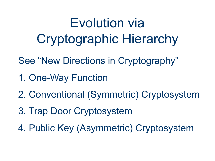# Evolution via Cryptographic Hierarchy

See "New Directions in Cryptography"

- 1. One-Way Function
- 2. Conventional (Symmetric) Cryptosystem
- 3. Trap Door Cryptosystem
- 4. Public Key (Asymmetric) Cryptosystem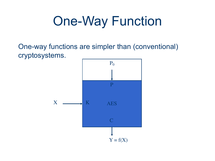# One-Way Function

One-way functions are simpler than (conventional) cryptosystems.

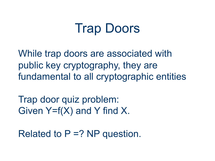## Trap Doors

While trap doors are associated with public key cryptography, they are fundamental to all cryptographic entities

Trap door quiz problem: Given  $Y=f(X)$  and Y find X.

Related to  $P = ?$  NP question.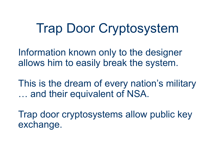### Trap Door Cryptosystem

Information known only to the designer allows him to easily break the system.

This is the dream of every nation's military … and their equivalent of NSA.

Trap door cryptosystems allow public key exchange.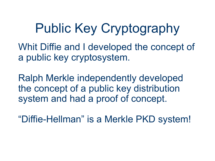## Public Key Cryptography

Whit Diffie and I developed the concept of a public key cryptosystem.

Ralph Merkle independently developed the concept of a public key distribution system and had a proof of concept.

"Diffie-Hellman" is a Merkle PKD system!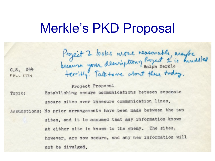#### Merkle's PKD Proposal

 $C.S. 244$ **FALL 1974** 

Project 2 looks more reasonable, maybe<br>because your description ? Razon Merkle<br>terribly. Talktome about these tracy.

Project Proposal Establishing secure communications between seperate Topic: secure sites over insecure communication lines. Assumptions: No prior arrangements have been made between the two sites, and it is assumed that any information known at either site is known to the enemy. The sites, however, are now secure, and any new information will not be divulged.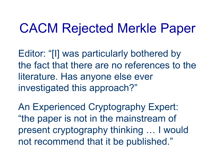## CACM Rejected Merkle Paper

Editor: "[I] was particularly bothered by the fact that there are no references to the literature. Has anyone else ever investigated this approach?"

An Experienced Cryptography Expert: "the paper is not in the mainstream of present cryptography thinking … I would not recommend that it be published."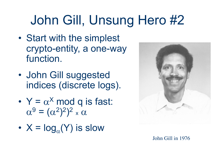# John Gill, Unsung Hero #2

- Start with the simplest crypto-entity, a one-way function.
- John Gill suggested indices (discrete logs).
- $Y = \alpha^X \mod q$  is fast:  $\alpha^9 = (\alpha^2)^2^2 \times \alpha$
- $X = log<sub>o</sub>(Y)$  is slow



John Gill in 1976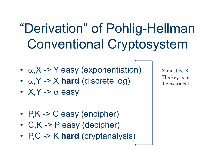# "Derivation" of Pohlig-Hellman Conventional Cryptosystem

- $\alpha$ , X -> Y easy (exponentiation)
- $\alpha, Y \rightarrow X$  hard (discrete log)
- $X, Y \rightarrow \alpha$  easy
- P, K -> C easy (encipher)
- C,K -> P easy (decipher)
- P,C -> K **hard** (cryptanalysis)

X must be K! The key is in the exponent.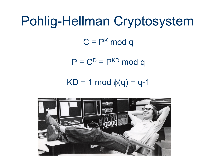### Pohlig-Hellman Cryptosystem

 $C = P<sup>K</sup>$  mod q

 $P = C<sup>D</sup> = P<sup>KD</sup> \text{ mod } q$ 

 $KD = 1 \mod \phi(q) = q-1$ 

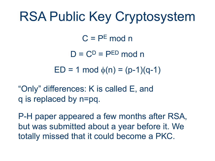## RSA Public Key Cryptosystem

 $C = PE \mod n$ 

 $D = C<sup>D</sup> = P<sup>ED</sup>$  mod n

 $ED = 1 \mod \phi(n) = (p-1)(q-1)$ 

"Only" differences: K is called E, and q is replaced by n=pq.

P-H paper appeared a few months after RSA, but was submitted about a year before it. We totally missed that it could become a PKC.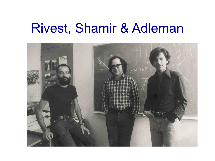#### Rivest, Shamir & Adleman

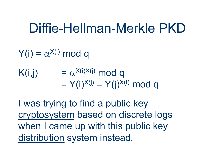#### Diffie-Hellman-Merkle PKD

- $Y(i) = \alpha^{X(i)}$  mod q
- $K(i,j) = \alpha^{X(i)X(j)}$  mod q  $= Y(i)^{X(j)} = Y(i)^{X(i)}$  mod q

I was trying to find a public key cryptosystem based on discrete logs when I came up with this public key distribution system instead.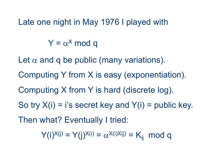Late one night in May 1976 I played with

 $Y = \alpha^X \mod q$ 

Let  $\alpha$  and q be public (many variations). Computing Y from X is easy (exponentiation). Computing X from Y is hard (discrete log). So try  $X(i) = i's$  secret key and  $Y(i) =$  public key. Then what? Eventually I tried:

 $Y(i)^{X(j)} = Y(i)^{X(i)} = \alpha^{X(i)X(j)} = K_{ii} \mod q$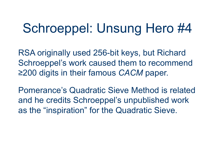## Schroeppel: Unsung Hero #4

RSA originally used 256-bit keys, but Richard Schroeppel's work caused them to recommend ≥200 digits in their famous *CACM* paper.

Pomerance's Quadratic Sieve Method is related and he credits Schroeppel's unpublished work as the "inspiration" for the Quadratic Sieve.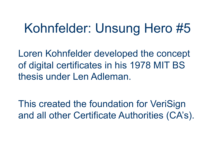## Kohnfelder: Unsung Hero #5

Loren Kohnfelder developed the concept of digital certificates in his 1978 MIT BS thesis under Len Adleman.

This created the foundation for VeriSign and all other Certificate Authorities (CA's).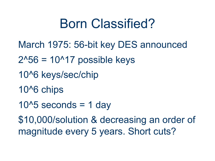#### Born Classified?

- March 1975: 56-bit key DES announced
- $2^{\wedge}56 = 10^{\wedge}17$  possible keys
- 10^6 keys/sec/chip
- 10^6 chips
- $10<sup>4</sup>5$  seconds = 1 day

\$10,000/solution & decreasing an order of magnitude every 5 years. Short cuts?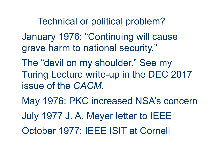Technical or political problem?

January 1976: "Continuing will cause grave harm to national security."

The "devil on my shoulder." See my Turing Lecture write-up in the DEC 2017 issue of the *CACM*.

May 1976: PKC increased NSA's concern July 1977 J. A. Meyer letter to IEEE October 1977: IEEE ISIT at Cornell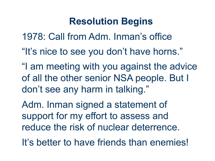#### **Resolution Begins**

- 1978: Call from Adm. Inman's office
- "It's nice to see you don't have horns."
- "I am meeting with you against the advice of all the other senior NSA people. But I don't see any harm in talking."

Adm. Inman signed a statement of support for my effort to assess and reduce the risk of nuclear deterrence.

It's better to have friends than enemies!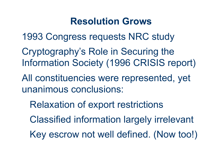#### **Resolution Grows**

1993 Congress requests NRC study

- Cryptography's Role in Securing the Information Society (1996 CRISIS report)
- All constituencies were represented, yet unanimous conclusions:
	- Relaxation of export restrictions
	- Classified information largely irrelevant
	- Key escrow not well defined. (Now too!)